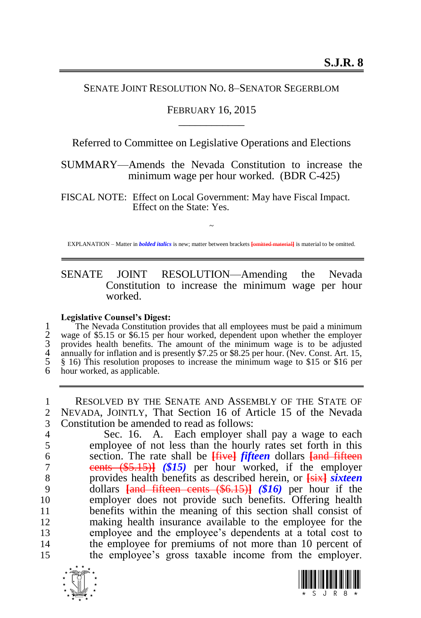## SENATE JOINT RESOLUTION NO. 8–SENATOR SEGERBLOM

## FEBRUARY 16, 2015 \_\_\_\_\_\_\_\_\_\_\_\_

Referred to Committee on Legislative Operations and Elections

SUMMARY—Amends the Nevada Constitution to increase the minimum wage per hour worked. (BDR C-425)

FISCAL NOTE: Effect on Local Government: May have Fiscal Impact. Effect on the State: Yes.

~ EXPLANATION – Matter in *bolded italics* is new; matter between brackets **[**omitted material**]** is material to be omitted.

## SENATE JOINT RESOLUTION—Amending the Nevada Constitution to increase the minimum wage per hour worked.

## **Legislative Counsel's Digest:**

The Nevada Constitution provides that all employees must be paid a minimum<br>2 wage of \$5.15 or \$6.15 per hour worked, dependent upon whether the employer<br>3 provides health benefits. The amount of the minimum wage is to be a wage of \$5.15 or \$6.15 per hour worked, dependent upon whether the employer provides health benefits. The amount of the minimum wage is to be adjusted annually for inflation and is presently  $$7.25$  or  $$8.25$  per hour. (Nev. Const. Art. 15, 5 § 16) This resolution proposes to increase the minimum wage to \$15 or \$16 per hour worked, as applicable.

1 RESOLVED BY THE SENATE AND ASSEMBLY OF THE STATE OF 2 NEVADA, JOINTLY, That Section 16 of Article 15 of the Nevada 3 Constitution be amended to read as follows:

4 Sec. 16. A. Each employer shall pay a wage to each employee of not less than the hourly rates set forth in this employee of not less than the hourly rates set forth in this section. The rate shall be **[**five**]** *fifteen* dollars **[**and fifteen cents (\$5.15)**]** *(\$15)* per hour worked, if the employer provides health benefits as described herein, or **[**six**]** *sixteen*  dollars **[**and fifteen cents (\$6.15)**]** *(\$16)* per hour if the employer does not provide such benefits. Offering health benefits within the meaning of this section shall consist of making health insurance available to the employee for the employee and the employee's dependents at a total cost to the employee for premiums of not more than 10 percent of the employee's gross taxable income from the employer.



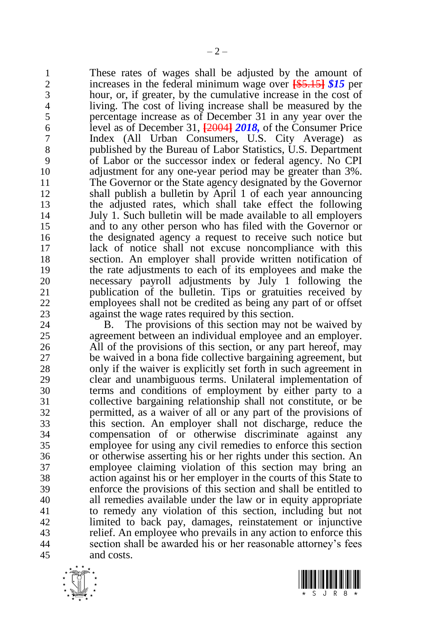1 These rates of wages shall be adjusted by the amount of increases in the federal minimum wage over  $\frac{155.151}{100}$  per increases in the federal minimum wage over **[**\$5.15**]** *\$15* per hour, or, if greater, by the cumulative increase in the cost of living. The cost of living increase shall be measured by the percentage increase as of December 31 in any year over the level as of December 31, **[**2004**]** *2018,* of the Consumer Price Index (All Urban Consumers, U.S. City Average) as 8 published by the Bureau of Labor Statistics, U.S. Department<br>9 of Labor or the successor index or federal agency. No CPI of Labor or the successor index or federal agency. No CPI adjustment for any one-year period may be greater than 3%. The Governor or the State agency designated by the Governor shall publish a bulletin by April 1 of each year announcing the adjusted rates, which shall take effect the following July 1. Such bulletin will be made available to all employers and to any other person who has filed with the Governor or the designated agency a request to receive such notice but lack of notice shall not excuse noncompliance with this section. An employer shall provide written notification of the rate adjustments to each of its employees and make the necessary payroll adjustments by July 1 following the publication of the bulletin. Tips or gratuities received by employees shall not be credited as being any part of or offset 23 against the wage rates required by this section.<br>24 B. The provisions of this section may no

B. The provisions of this section may not be waived by agreement between an individual employee and an employer. All of the provisions of this section, or any part hereof, may be waived in a bona fide collective bargaining agreement, but only if the waiver is explicitly set forth in such agreement in clear and unambiguous terms. Unilateral implementation of terms and conditions of employment by either party to a collective bargaining relationship shall not constitute, or be permitted, as a waiver of all or any part of the provisions of this section. An employer shall not discharge, reduce the compensation of or otherwise discriminate against any employee for using any civil remedies to enforce this section or otherwise asserting his or her rights under this section. An employee claiming violation of this section may bring an action against his or her employer in the courts of this State to enforce the provisions of this section and shall be entitled to all remedies available under the law or in equity appropriate to remedy any violation of this section, including but not limited to back pay, damages, reinstatement or injunctive relief. An employee who prevails in any action to enforce this section shall be awarded his or her reasonable attorney's fees and costs.